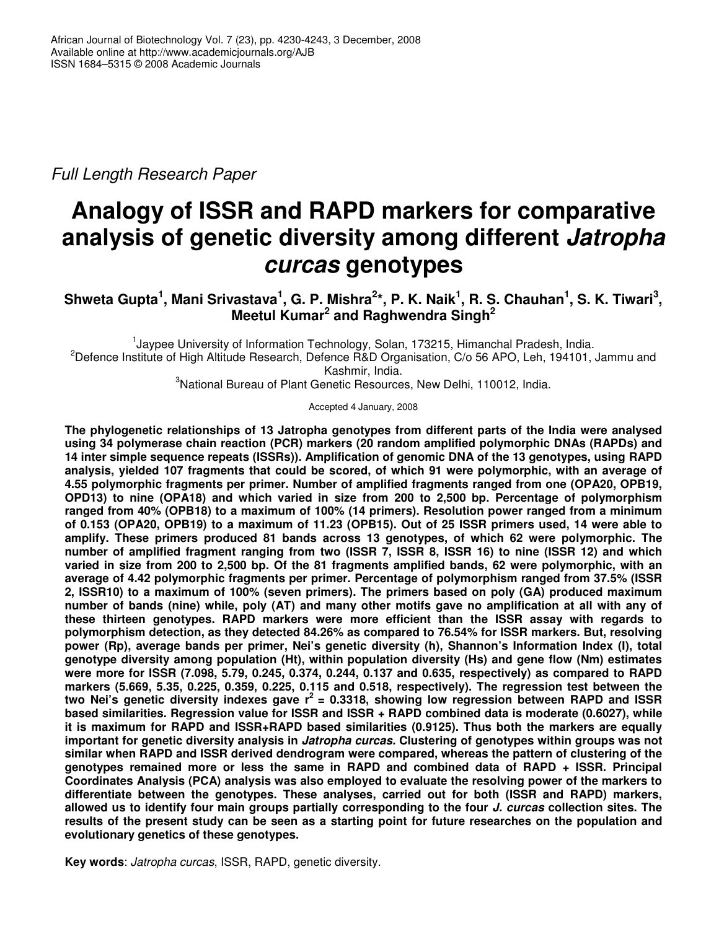*Full Length Research Paper*

# **Analogy of ISSR and RAPD markers for comparative analysis of genetic diversity among different** *Jatropha curcas* **genotypes**

Shweta Gupta<sup>1</sup>, Mani Srivastava<sup>1</sup>, G. P. Mishra<sup>2</sup>\*, P. K. Naik<sup>1</sup>, R. S. Chauhan<sup>1</sup>, S. K. Tiwari<sup>3</sup>, **Meetul Kumar 2 and Raghwendra Singh 2**

<sup>1</sup>Jaypee University of Information Technology, Solan, 173215, Himanchal Pradesh, India. <sup>2</sup>Defence Institute of High Altitude Research, Defence R&D Organisation, C/o 56 APO, Leh, 194101, Jammu and Kashmir, India.

<sup>3</sup>National Bureau of Plant Genetic Resources, New Delhi, 110012, India.

Accepted 4 January, 2008

**The phylogenetic relationships of 13 Jatropha genotypes from different parts of the India were analysed using 34 polymerase chain reaction (PCR) markers (20 random amplified polymorphic DNAs (RAPDs) and 14 inter simple sequence repeats (ISSRs)). Amplification of genomic DNA of the 13 genotypes, using RAPD analysis, yielded 107 fragments that could be scored, of which 91 were polymorphic, with an average of 4.55 polymorphic fragments per primer. Number of amplified fragments ranged from one (OPA20, OPB19, OPD13) to nine (OPA18) and which varied in size from 200 to 2,500 bp. Percentage of polymorphism ranged from 40% (OPB18) to a maximum of 100% (14 primers). Resolution power ranged from a minimum** of 0.153 (OPA20, OPB19) to a maximum of 11.23 (OPB15). Out of 25 ISSR primers used, 14 were able to **amplify. These primers produced 81 bands across 13 genotypes, of which 62 were polymorphic. The** number of amplified fragment ranging from two (ISSR 7, ISSR 8, ISSR 16) to nine (ISSR 12) and which varied in size from 200 to 2,500 bp. Of the 81 fragments amplified bands, 62 were polymorphic, with an **average of 4.42 polymorphic fragments per primer. Percentage of polymorphism ranged from 37.5% (ISSR 2, ISSR10) to a maximum of 100% (seven primers). The primers based on poly (GA) produced maximum** number of bands (nine) while, poly (AT) and many other motifs gave no amplification at all with any of **these thirteen genotypes. RAPD markers were more efficient than the ISSR assay with regards to polymorphism detection, as they detected 84.26% as compared to 76.54% for ISSR markers. But, resolving power (Rp), average bands per primer, Nei's genetic diversity (h), Shannon's Information Index (I), total genotype diversity among population (Ht), within population diversity (Hs) and gene flow (Nm) estimates were more for ISSR (7.098, 5.79, 0.245, 0.374, 0.244, 0.137 and 0.635, respectively) as compared to RAPD markers (5.669, 5.35, 0.225, 0.359, 0.225, 0.115 and 0.518, respectively). The regression test between the two Nei's genetic diversity indexes gave r 2 = 0.3318, showing low regression between RAPD and ISSR based similarities. Regression value for ISSR and ISSR + RAPD combined data is moderate (0.6027), while it is maximum for RAPD and ISSR+RAPD based similarities (0.9125). Thus both the markers are equally important for genetic diversity analysis in** *Jatropha curcas.* **Clustering of genotypes within groups was not similar when RAPD and ISSR derived dendrogram were compared, whereas the pattern of clustering of the genotypes remained more or less the same in RAPD and combined data of RAPD + ISSR. Principal Coordinates Analysis (PCA) analysis was also employed to evaluate the resolving power of the markers to differentiate between the genotypes. These analyses, carried out for both (ISSR and RAPD) markers,** allowed us to identify four main groups partially corresponding to the four J. curcas collection sites. The results of the present study can be seen as a starting point for future researches on the population and **evolutionary genetics of these genotypes.**

**Key words**: *Jatropha curcas*, ISSR, RAPD, genetic diversity.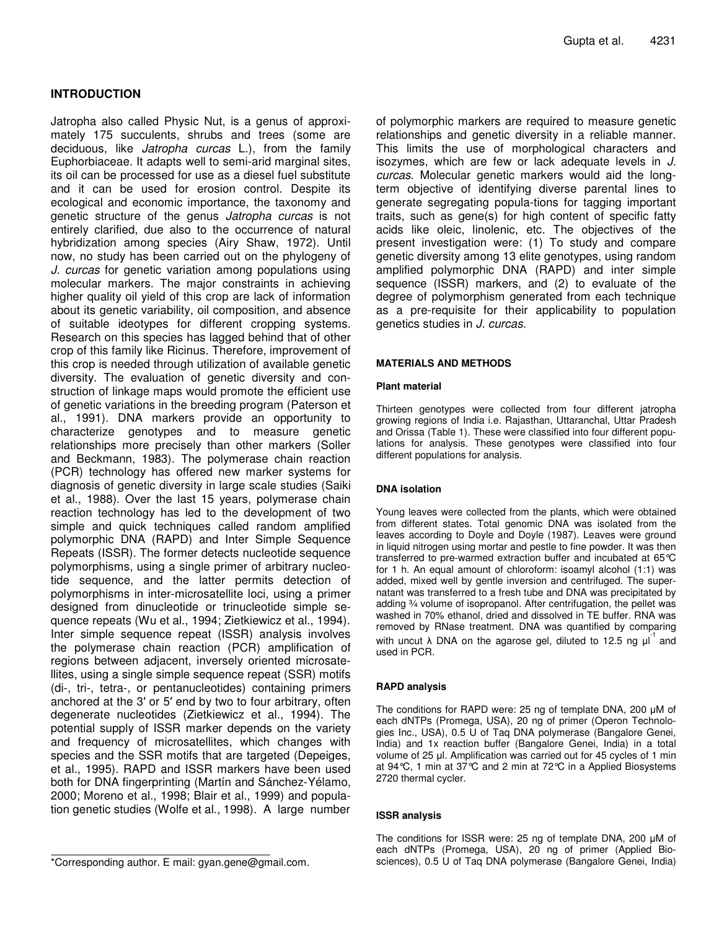## **INTRODUCTION**

Jatropha also called Physic Nut, is a genus of approximately 175 succulents, shrubs and trees (some are deciduous, like *Jatropha curcas* L.), from the family Euphorbiaceae. It adapts well to semi-arid marginal sites, its oil can be processed for use as a diesel fuel substitute and it can be used for erosion control. Despite its ecological and economic importance, the taxonomy and genetic structure of the genus *Jatropha curcas* is not entirely clarified, due also to the occurrence of natural hybridization among species (Airy Shaw, 1972). Until now, no study has been carried out on the phylogeny of *J. curcas* for genetic variation among populations using molecular markers. The major constraints in achieving higher quality oil yield of this crop are lack of information about its genetic variability, oil composition, and absence of suitable ideotypes for different cropping systems. Research on this species has lagged behind that of other crop of this family like Ricinus. Therefore, improvement of this crop is needed through utilization of available genetic diversity. The evaluation of genetic diversity and construction of linkage maps would promote the efficient use of genetic variations in the breeding program (Paterson et al., 1991). DNA markers provide an opportunity to characterize genotypes and to measure genetic relationships more precisely than other markers (Soller and Beckmann, 1983). The polymerase chain reaction (PCR) technology has offered new marker systems for diagnosis of genetic diversity in large scale studies (Saiki et al., 1988). Over the last 15 years, polymerase chain reaction technology has led to the development of two simple and quick techniques called random amplified polymorphic DNA (RAPD) and Inter Simple Sequence Repeats (ISSR). The former detects nucleotide sequence polymorphisms, using a single primer of arbitrary nucleotide sequence, and the latter permits detection of polymorphisms in inter-microsatellite loci, using a primer designed from dinucleotide or trinucleotide simple sequence repeats (Wu et al., 1994; Zietkiewicz et al., 1994). Inter simple sequence repeat (ISSR) analysis involves the polymerase chain reaction (PCR) amplification of regions between adjacent, inversely oriented microsatellites, using a single simple sequence repeat (SSR) motifs (di-, tri-, tetra-, or pentanucleotides) containing primers anchored at the 3' or 5' end by two to four arbitrary, often degenerate nucleotides (Zietkiewicz et al., 1994). The potential supply of ISSR marker depends on the variety and frequency of microsatellites, which changes with species and the SSR motifs that are targeted (Depeiges, et al., 1995). RAPD and ISSR markers have been used both for DNA fingerprinting (Martín and Sánchez-Yélamo, 2000; Moreno et al., 1998; Blair et al., 1999) and population genetic studies (Wolfe et al., 1998). A large number of polymorphic markers are required to measure genetic relationships and genetic diversity in a reliable manner. This limits the use of morphological characters and isozymes, which are few or lack adequate levels in *J. curcas*. Molecular genetic markers would aid the longterm objective of identifying diverse parental lines to generate segregating popula-tions for tagging important traits, such as gene(s) for high content of specific fatty acids like oleic, linolenic, etc. The objectives of the present investigation were: (1) To study and compare genetic diversity among 13 elite genotypes, using random amplified polymorphic DNA (RAPD) and inter simple sequence (ISSR) markers, and (2) to evaluate of the degree of polymorphism generated from each technique as a pre-requisite for their applicability to population genetics studies in *J. curcas*.

#### **MATERIALS AND METHODS**

#### **Plant material**

Thirteen genotypes were collected from four different jatropha growing regions of India i.e. Rajasthan, Uttaranchal, Uttar Pradesh and Orissa (Table 1). These were classified into four different populations for analysis. These genotypes were classified into four different populations for analysis.

#### **DNA isolation**

Young leaves were collected from the plants, which were obtained from different states. Total genomic DNA was isolated from the leaves according to Doyle and Doyle (1987). Leaves were ground in liquid nitrogen using mortar and pestle to fine powder. It was then transferred to pre-warmed extraction buffer and incubated at 65°C for 1 h. An equal amount of chloroform: isoamyl alcohol (1:1) was added, mixed well by gentle inversion and centrifuged. The supernatant was transferred to a fresh tube and DNA was precipitated by adding ¾ volume of isopropanol. After centrifugation, the pellet was washed in 70% ethanol, dried and dissolved in TE buffer. RNA was removed by RNase treatment. DNA was quantified by comparing with uncut  $\lambda$  DNA on the agarose gel, diluted to 12.5 ng  $\mu$ <sup>1</sup> and used in PCR.

#### **RAPD analysis**

The conditions for RAPD were: 25 ng of template DNA, 200 µM of each dNTPs (Promega, USA), 20 ng of primer (Operon Technologies Inc., USA), 0.5 U of Taq DNA polymerase (Bangalore Genei, India) and 1x reaction buffer (Bangalore Genei, India) in a total volume of 25 µl. Amplification was carried out for 45 cycles of 1 min at 94°C, 1 min at 37°C and 2 min at 72°C in a Applied Biosystems 2720 thermal cycler.

#### **ISSR analysis**

The conditions for ISSR were: 25 ng of template DNA, 200 µM of each dNTPs (Promega, USA), 20 ng of primer (Applied Biosciences), 0.5 U of Taq DNA polymerase (Bangalore Genei, India)

<sup>\*</sup>Corresponding author. E mail: gyan.gene@gmail.com.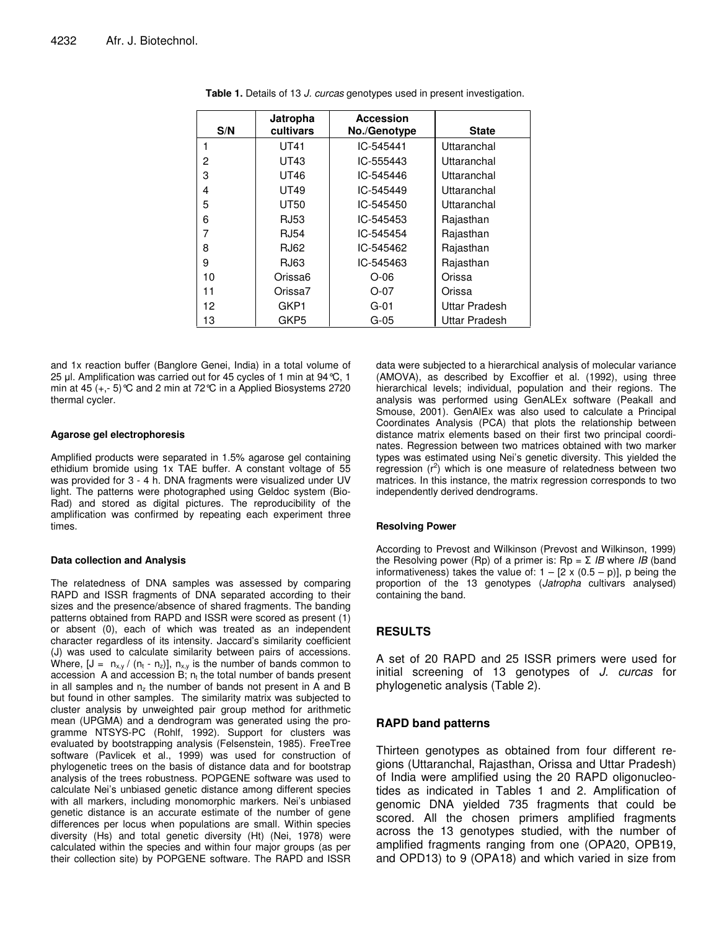| S/N            | Jatropha<br>cultivars | Accession<br>No./Genotype | <b>State</b>  |
|----------------|-----------------------|---------------------------|---------------|
|                | <b>UT41</b>           | IC-545441                 | Uttaranchal   |
| $\overline{c}$ | UT43                  | IC-555443                 | Uttaranchal   |
| 3              | UT46                  | IC-545446                 | Uttaranchal   |
| 4              | UT49                  | IC-545449                 | Uttaranchal   |
| 5              | <b>UT50</b>           | IC-545450                 | Uttaranchal   |
| 6              | RJ53                  | IC-545453                 | Rajasthan     |
| 7              | <b>RJ54</b>           | IC-545454                 | Rajasthan     |
| 8              | RJ62                  | IC-545462                 | Rajasthan     |
| 9              | RJ63                  | IC-545463                 | Rajasthan     |
| 10             | Orissa6               | $O-06$                    | Orissa        |
| 11             | Orissa7               | $O-07$                    | Orissa        |
| 12             | GKP1                  | $G-01$                    | Uttar Pradesh |
| 13             | GKP5                  | G-05                      | Uttar Pradesh |

**Table 1.** Details of 13 *J. curcas* genotypes used in present investigation.

and 1x reaction buffer (Banglore Genei, India) in a total volume of 25 µl. Amplification was carried out for 45 cycles of 1 min at  $94^{\circ}$ C, 1 min at 45  $(+,-5)$  °C and 2 min at 72 °C in a Applied Biosystems 2720 thermal cycler.

#### **Agarose gel electrophoresis**

Amplified products were separated in 1.5% agarose gel containing ethidium bromide using 1x TAE buffer. A constant voltage of 55 was provided for 3 - 4 h. DNA fragments were visualized under UV light. The patterns were photographed using Geldoc system (Bio-Rad) and stored as digital pictures. The reproducibility of the amplification was confirmed by repeating each experiment three times.

#### **Data collection and Analysis**

The relatedness of DNA samples was assessed by comparing RAPD and ISSR fragments of DNA separated according to their sizes and the presence/absence of shared fragments. The banding patterns obtained from RAPD and ISSR were scored as present (1) or absent (0), each of which was treated as an independent character regardless of its intensity. Jaccard's similarity coefficient (J) was used to calculate similarity between pairs of accessions. Where,  $[J = n_{x,y} / (n_t - n_z)], n_{x,y}$  is the number of bands common to accession A and accession B;  $n_t$  the total number of bands present in all samples and  $n<sub>z</sub>$  the number of bands not present in A and B but found in other samples. The similarity matrix was subjected to cluster analysis by unweighted pair group method for arithmetic mean (UPGMA) and a dendrogram was generated using the programme NTSYS-PC (Rohlf, 1992). Support for clusters was evaluated by bootstrapping analysis (Felsenstein, 1985). FreeTree software (Pavlicek et al., 1999) was used for construction of phylogenetic trees on the basis of distance data and for bootstrap analysis of the trees robustness. POPGENE software was used to calculate Nei's unbiased genetic distance among different species with all markers, including monomorphic markers. Nei's unbiased genetic distance is an accurate estimate of the number of gene differences per locus when populations are small. Within species diversity (Hs) and total genetic diversity (Ht) (Nei, 1978) were calculated within the species and within four major groups (as per their collection site) by POPGENE software. The RAPD and ISSR

data were subjected to a hierarchical analysis of molecular variance (AMOVA), as described by Excoffier et al. (1992), using three hierarchical levels; individual, population and their regions. The analysis was performed using GenALEx software (Peakall and Smouse, 2001). GenAlEx was also used to calculate a Principal Coordinates Analysis (PCA) that plots the relationship between distance matrix elements based on their first two principal coordinates. Regression between two matrices obtained with two marker types was estimated using Nei's genetic diversity. This yielded the  $r_{\text{eq}}$  creasure of relatedness between two matrices. In this instance, the matrix regression corresponds to two independently derived dendrograms.

#### **Resolving Power**

According to Prevost and Wilkinson (Prevost and Wilkinson, 1999) the Resolving power (Rp) of a primer is:  $\text{Rp} = \Sigma$  *IB* where *IB* (band informativeness) takes the value of:  $1 - [2 \times (0.5 - p)]$ , p being the proportion of the 13 genotypes (*Jatropha* cultivars analysed) containing the band.

## **RESULTS**

A set of 20 RAPD and 25 ISSR primers were used for initial screening of 13 genotypes of *J. curcas* for phylogenetic analysis (Table 2).

## **RAPD band patterns**

Thirteen genotypes as obtained from four different regions (Uttaranchal, Rajasthan, Orissa and Uttar Pradesh) of India were amplified using the 20 RAPD oligonucleotides as indicated in Tables 1 and 2. Amplification of genomic DNA yielded 735 fragments that could be scored. All the chosen primers amplified fragments across the 13 genotypes studied, with the number of amplified fragments ranging from one (OPA20, OPB19, and OPD13) to 9 (OPA18) and which varied in size from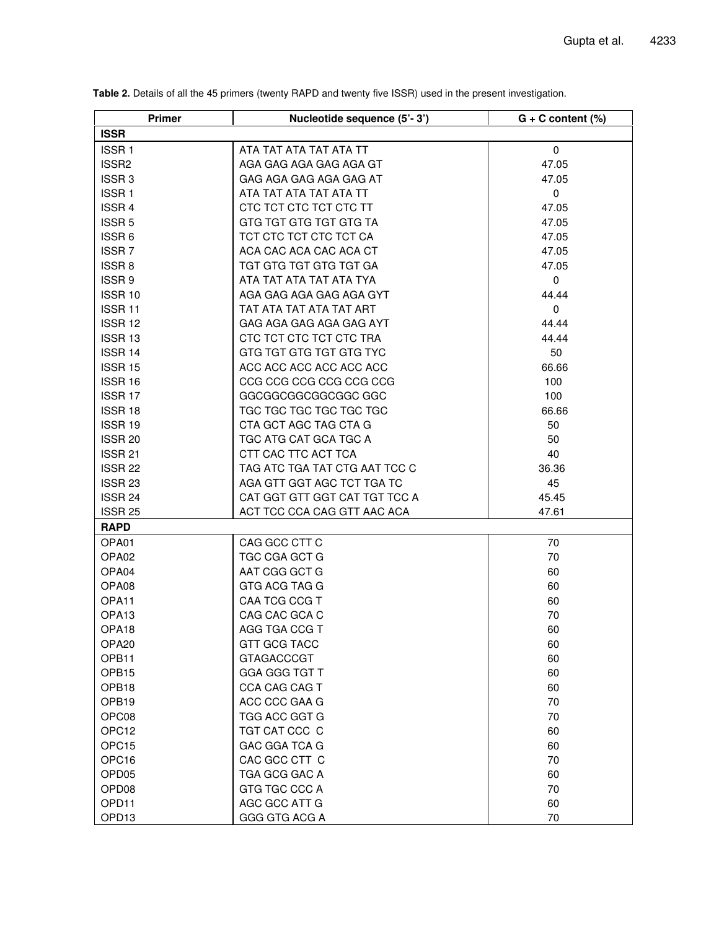| Primer             | Nucleotide sequence (5'-3')   | $G + C$ content $(\%)$ |
|--------------------|-------------------------------|------------------------|
| <b>ISSR</b>        |                               |                        |
| ISSR <sub>1</sub>  | ATA TAT ATA TAT ATA TT        | $\mathbf 0$            |
| ISSR <sub>2</sub>  | AGA GAG AGA GAG AGA GT        | 47.05                  |
| ISSR <sub>3</sub>  | GAG AGA GAG AGA GAG AT        | 47.05                  |
| <b>ISSR1</b>       | ATA TAT ATA TAT ATA TT        | 0                      |
| <b>ISSR 4</b>      | CTC TCT CTC TCT CTC TT        | 47.05                  |
| ISSR <sub>5</sub>  | GTG TGT GTG TGT GTG TA        | 47.05                  |
| ISSR 6             | TCT CTC TCT CTC TCT CA        | 47.05                  |
| <b>ISSR7</b>       | ACA CAC ACA CAC ACA CT        | 47.05                  |
| ISSR <sub>8</sub>  | TGT GTG TGT GTG TGT GA        | 47.05                  |
| ISSR <sub>9</sub>  | ATA TAT ATA TAT ATA TYA       | $\mathbf 0$            |
| ISSR 10            | AGA GAG AGA GAG AGA GYT       | 44.44                  |
| <b>ISSR 11</b>     | TAT ATA TAT ATA TAT ART       | $\mathbf 0$            |
| ISSR <sub>12</sub> | GAG AGA GAG AGA GAG AYT       | 44.44                  |
| ISSR <sub>13</sub> | CTC TCT CTC TCT CTC TRA       | 44.44                  |
| ISSR <sub>14</sub> | GTG TGT GTG TGT GTG TYC       | 50                     |
| ISSR 15            | ACC ACC ACC ACC ACC ACC       | 66.66                  |
| <b>ISSR 16</b>     | CCG CCG CCG CCG CCG CCG       | 100                    |
| ISSR <sub>17</sub> | GGCGGCGGCGGCGGC GGC           | 100                    |
| ISSR 18            | TGC TGC TGC TGC TGC TGC       | 66.66                  |
| ISSR 19            | CTA GCT AGC TAG CTA G         | 50                     |
| ISSR <sub>20</sub> | TGC ATG CAT GCA TGC A         | 50                     |
| <b>ISSR 21</b>     | CTT CAC TTC ACT TCA           | 40                     |
| ISSR <sub>22</sub> | TAG ATC TGA TAT CTG AAT TCC C | 36.36                  |
| ISSR <sub>23</sub> | AGA GTT GGT AGC TCT TGA TC    | 45                     |
| ISSR 24            | CAT GGT GTT GGT CAT TGT TCC A | 45.45                  |
| <b>ISSR 25</b>     | ACT TCC CCA CAG GTT AAC ACA   | 47.61                  |
| <b>RAPD</b>        |                               |                        |
| OPA01              | CAG GCC CTT C                 | 70                     |
| OPA <sub>02</sub>  | TGC CGA GCT G                 | 70                     |
| OPA04              | AAT CGG GCT G                 | 60                     |
| OPA08              | GTG ACG TAG G                 | 60                     |
| OPA11              | CAA TCG CCG T                 | 60                     |
| OPA <sub>13</sub>  | CAG CAC GCA C                 | 70                     |
| OPA <sub>18</sub>  | AGG TGA CCG T                 | 60                     |
| OPA <sub>20</sub>  | GTT GCG TACC                  | 60                     |
| OPB11              | <b>GTAGACCCGT</b>             | 60                     |
| OPB15              | GGA GGG TGT T                 | 60                     |
| OPB18              | CCA CAG CAG T                 | 60                     |
| OPB19              | ACC CCC GAA G                 | 70                     |
| OPC08              | TGG ACC GGT G                 | 70                     |
| OPC12              | TGT CAT CCC C                 | 60                     |
| OPC15              | GAC GGA TCA G                 | 60                     |
| OPC16              | CAC GCC CTT C                 | 70                     |
| OPD <sub>05</sub>  | TGA GCG GAC A                 | 60                     |
| OPD <sub>08</sub>  | GTG TGC CCC A                 | 70                     |
| OPD11              | AGC GCC ATT G                 | 60                     |
| OPD13              | GGG GTG ACG A                 | 70                     |

**Table 2.** Details of all the 45 primers (twenty RAPD and twenty five ISSR) used in the present investigation.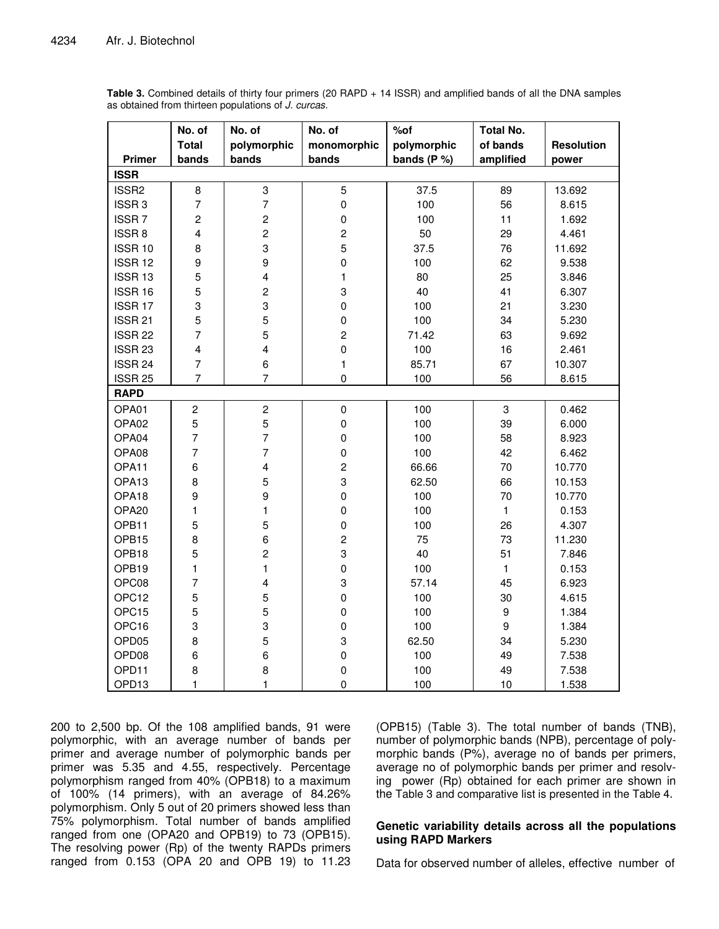|                    | No. of                  | No. of                  | No. of                  | % of           | <b>Total No.</b> |                   |
|--------------------|-------------------------|-------------------------|-------------------------|----------------|------------------|-------------------|
|                    | <b>Total</b>            | polymorphic             | monomorphic             | polymorphic    | of bands         | <b>Resolution</b> |
| Primer             | bands                   | bands                   | bands                   | bands ( $P$ %) | amplified        | power             |
| <b>ISSR</b>        |                         |                         |                         |                |                  |                   |
| ISSR <sub>2</sub>  | $\bf 8$                 | 3                       | 5                       | 37.5           | 89               | 13.692            |
| ISSR <sub>3</sub>  | $\overline{7}$          | $\overline{7}$          | $\pmb{0}$               | 100            | 56               | 8.615             |
| <b>ISSR7</b>       | $\overline{c}$          | $\overline{c}$          | $\mathbf 0$             | 100            | 11               | 1.692             |
| ISSR <sub>8</sub>  | $\overline{\mathbf{4}}$ | $\overline{c}$          | $\overline{\mathbf{c}}$ | 50             | 29               | 4.461             |
| ISSR 10            | 8                       | 3                       | 5                       | 37.5           | 76               | 11.692            |
| ISSR <sub>12</sub> | $\boldsymbol{9}$        | 9                       | $\pmb{0}$               | 100            | 62               | 9.538             |
| ISSR 13            | 5                       | $\overline{\mathbf{4}}$ | $\mathbf{1}$            | 80             | 25               | 3.846             |
| ISSR 16            | 5                       | $\overline{c}$          | 3                       | 40             | 41               | 6.307             |
| ISSR <sub>17</sub> | 3                       | 3                       | $\pmb{0}$               | 100            | 21               | 3.230             |
| ISSR <sub>21</sub> | 5                       | 5                       | $\mathbf 0$             | 100            | 34               | 5.230             |
| ISSR <sub>22</sub> | $\overline{7}$          | $\mathbf 5$             | $\overline{c}$          | 71.42          | 63               | 9.692             |
| ISSR <sub>23</sub> | $\overline{\mathbf{4}}$ | $\overline{4}$          | $\pmb{0}$               | 100            | 16               | 2.461             |
| ISSR 24            | $\overline{7}$          | 6                       | $\mathbf{1}$            | 85.71          | 67               | 10.307            |
| ISSR <sub>25</sub> | $\overline{7}$          | $\overline{7}$          | $\pmb{0}$               | 100            | 56               | 8.615             |
| <b>RAPD</b>        |                         |                         |                         |                |                  |                   |
| OPA01              | $\overline{c}$          | $\overline{c}$          | $\pmb{0}$               | 100            | 3                | 0.462             |
| OPA02              | $\mathbf 5$             | $\overline{5}$          | $\pmb{0}$               | 100            | 39               | 6.000             |
| OPA04              | $\overline{7}$          | $\overline{7}$          | $\pmb{0}$               | 100            | 58               | 8.923             |
| OPA08              | $\overline{7}$          | $\overline{7}$          | $\mathbf 0$             | 100            | 42               | 6.462             |
| OPA11              | 6                       | $\overline{4}$          | $\overline{c}$          | 66.66          | 70               | 10.770            |
| OPA <sub>13</sub>  | 8                       | $\mathbf 5$             | 3                       | 62.50          | 66               | 10.153            |
| OPA18              | 9                       | 9                       | $\pmb{0}$               | 100            | 70               | 10.770            |
| OPA20              | $\mathbf{1}$            | $\mathbf{1}$            | $\pmb{0}$               | 100            | $\mathbf{1}$     | 0.153             |
| OPB11              | 5                       | 5                       | $\pmb{0}$               | 100            | 26               | 4.307             |
| OPB15              | 8                       | 6                       | $\overline{\mathbf{c}}$ | 75             | 73               | 11.230            |
| OPB18              | 5                       | $\overline{c}$          | 3                       | 40             | 51               | 7.846             |
| OPB19              | 1                       | $\mathbf{1}$            | $\pmb{0}$               | 100            | $\mathbf{1}$     | 0.153             |
| OPC08              | $\overline{7}$          | $\overline{\mathbf{4}}$ | 3                       | 57.14          | 45               | 6.923             |
| OPC12              | 5                       | $\overline{5}$          | $\mathbf 0$             | 100            | 30               | 4.615             |
| OPC15              | 5                       | 5                       | $\mathbf 0$             | 100            | $\boldsymbol{9}$ | 1.384             |
| OPC16              | 3                       | 3                       | $\mathbf 0$             | 100            | 9                | 1.384             |
| OPD <sub>05</sub>  | 8                       | $\mathbf 5$             | 3                       | 62.50          | 34               | 5.230             |
| OPD08              | 6                       | 6                       | $\pmb{0}$               | 100            | 49               | 7.538             |
| OPD11              | 8                       | 8                       | $\pmb{0}$               | 100            | 49               | 7.538             |
| OPD13              | $\mathbf{1}$            | $\mathbf{1}$            | $\pmb{0}$               | 100            | 10               | 1.538             |

**Table 3.** Combined details of thirty four primers (20 RAPD + 14 ISSR) and amplified bands of all the DNA samples as obtained from thirteen populations of *J. curcas.*

200 to 2,500 bp. Of the 108 amplified bands, 91 were polymorphic, with an average number of bands per primer and average number of polymorphic bands per primer was 5.35 and 4.55, respectively. Percentage polymorphism ranged from 40% (OPB18) to a maximum of 100% (14 primers), with an average of 84.26% polymorphism. Only 5 out of 20 primers showed less than 75% polymorphism. Total number of bands amplified ranged from one (OPA20 and OPB19) to 73 (OPB15). The resolving power (Rp) of the twenty RAPDs primers ranged from 0.153 (OPA 20 and OPB 19) to 11.23

(OPB15) (Table 3). The total number of bands (TNB), number of polymorphic bands (NPB), percentage of polymorphic bands (P%), average no of bands per primers, average no of polymorphic bands per primer and resolving power (Rp) obtained for each primer are shown in the Table 3 and comparative list is presented in the Table 4.

## **Genetic variability details across all the populations using RAPD Markers**

Data for observed number of alleles, effective number of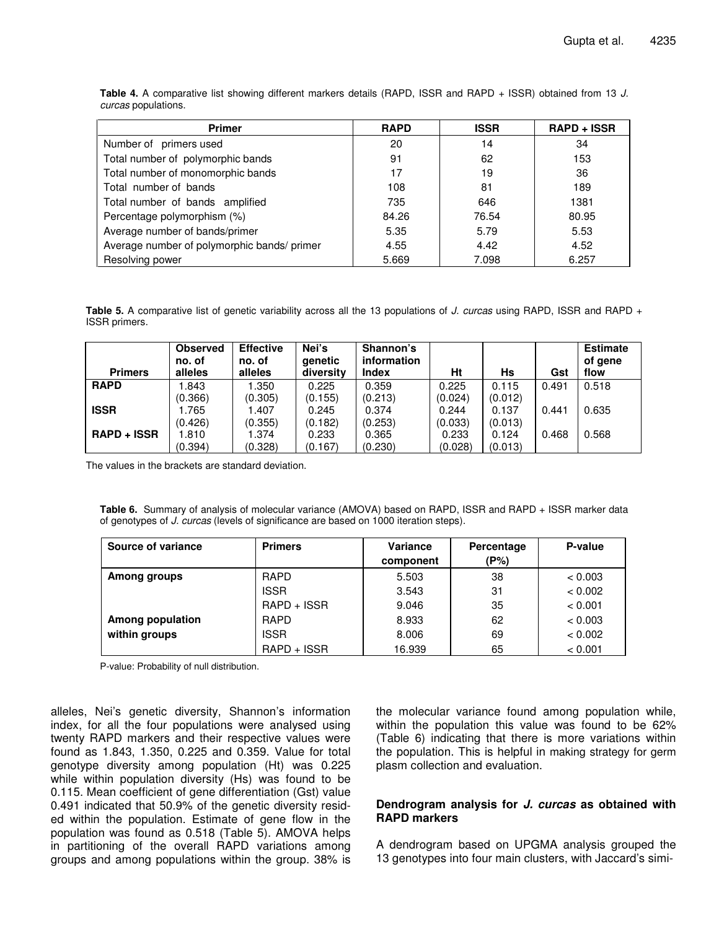| <b>Primer</b>                               | <b>RAPD</b> | <b>ISSR</b> | <b>RAPD + ISSR</b> |
|---------------------------------------------|-------------|-------------|--------------------|
| Number of primers used                      | 20          | 14          | 34                 |
| Total number of polymorphic bands           | 91          | 62          | 153                |
| Total number of monomorphic bands           | 17          | 19          | 36                 |
| Total number of bands                       | 108         | 81          | 189                |
| Total number of bands amplified             | 735         | 646         | 1381               |
| Percentage polymorphism (%)                 | 84.26       | 76.54       | 80.95              |
| Average number of bands/primer              | 5.35        | 5.79        | 5.53               |
| Average number of polymorphic bands/ primer | 4.55        | 4.42        | 4.52               |
| Resolving power                             | 5.669       | 7.098       | 6.257              |

**Table 4.** A comparative list showing different markers details (RAPD, ISSR and RAPD + ISSR) obtained from 13 *J. curcas* populations.

**Table 5.** A comparative list of genetic variability across all the 13 populations of *J. curcas* using RAPD, ISSR and RAPD + ISSR primers.

| <b>Primers</b>     | <b>Observed</b><br>no. of<br>alleles | <b>Effective</b><br>no. of<br>alleles | Nei's<br>genetic<br>diversity | Shannon's<br>information<br><b>Index</b> | Ht      | <b>Hs</b> | Gst   | <b>Estimate</b><br>of gene<br>flow |
|--------------------|--------------------------------------|---------------------------------------|-------------------------------|------------------------------------------|---------|-----------|-------|------------------------------------|
| <b>RAPD</b>        | .843                                 | .350                                  | 0.225                         | 0.359                                    | 0.225   | 0.115     | 0.491 | 0.518                              |
|                    | (0.366)                              | (0.305)                               | (0.155)                       | (0.213)                                  | (0.024) | (0.012)   |       |                                    |
| <b>ISSR</b>        | .765                                 | 1.407                                 | 0.245                         | 0.374                                    | 0.244   | 0.137     | 0.441 | 0.635                              |
|                    | (0.426)                              | (0.355)                               | (0.182)                       | (0.253)                                  | (0.033) | (0.013)   |       |                                    |
| <b>RAPD + ISSR</b> | 1.810                                | 1.374                                 | 0.233                         | 0.365                                    | 0.233   | 0.124     | 0.468 | 0.568                              |
|                    | (0.394)                              | (0.328)                               | (0.167)                       | (0.230)                                  | (0.028) | (0.013)   |       |                                    |

The values in the brackets are standard deviation.

**Table 6.** Summary of analysis of molecular variance (AMOVA) based on RAPD, ISSR and RAPD + ISSR marker data of genotypes of *J. curcas* (levels of significance are based on 1000 iteration steps).

| Source of variance      | <b>Primers</b> | Variance  | Percentage | P-value |
|-------------------------|----------------|-----------|------------|---------|
|                         |                | component | (P%)       |         |
| Among groups            | <b>RAPD</b>    | 5.503     | 38         | < 0.003 |
|                         | <b>ISSR</b>    | 3.543     | 31         | < 0.002 |
|                         | RAPD + ISSR    | 9.046     | 35         | < 0.001 |
| <b>Among population</b> | <b>RAPD</b>    | 8.933     | 62         | < 0.003 |
| within groups           | <b>ISSR</b>    | 8.006     | 69         | < 0.002 |
|                         | RAPD + ISSR    | 16.939    | 65         | < 0.001 |

P-value: Probability of null distribution.

alleles, Nei's genetic diversity, Shannon's information index, for all the four populations were analysed using twenty RAPD markers and their respective values were found as 1.843, 1.350, 0.225 and 0.359. Value for total genotype diversity among population (Ht) was 0.225 while within population diversity (Hs) was found to be 0.115. Mean coefficient of gene differentiation (Gst) value 0.491 indicated that 50.9% of the genetic diversity resided within the population. Estimate of gene flow in the population was found as 0.518 (Table 5). AMOVA helps in partitioning of the overall RAPD variations among groups and among populations within the group. 38% is

the molecular variance found among population while, within the population this value was found to be 62% (Table 6) indicating that there is more variations within the population. This is helpful in making strategy for germ plasm collection and evaluation.

## **Dendrogram analysis for** *J. curcas* **as obtained with RAPD markers**

A dendrogram based on UPGMA analysis grouped the 13 genotypes into four main clusters, with Jaccard's simi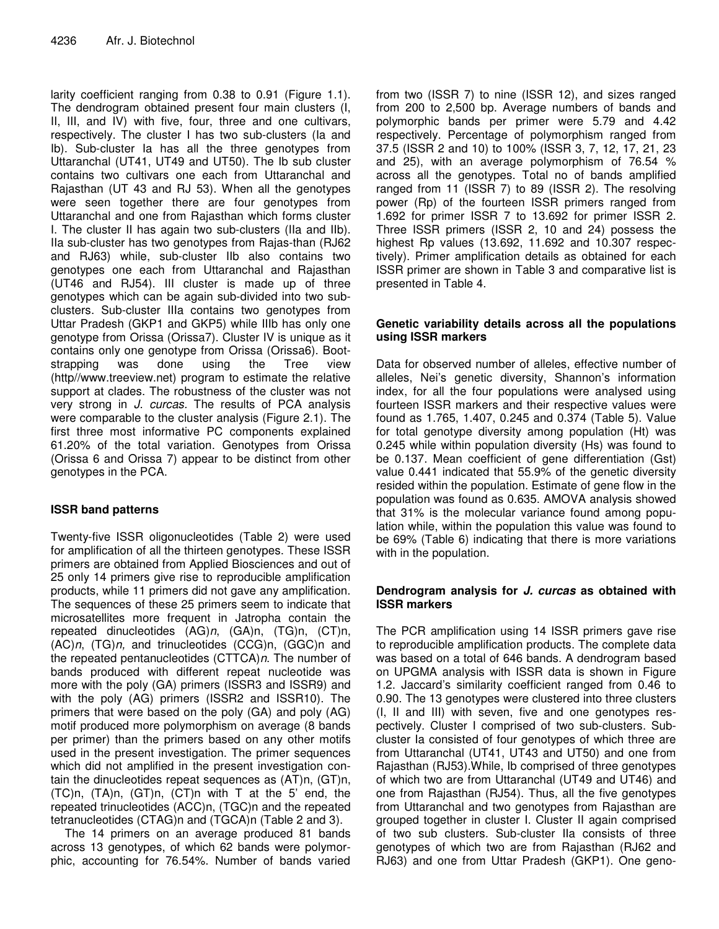larity coefficient ranging from 0.38 to 0.91 (Figure 1.1). The dendrogram obtained present four main clusters (I, II, III, and IV) with five, four, three and one cultivars, respectively. The cluster I has two sub-clusters (Ia and Ib). Sub-cluster Ia has all the three genotypes from Uttaranchal (UT41, UT49 and UT50). The Ib sub cluster contains two cultivars one each from Uttaranchal and Rajasthan (UT 43 and RJ 53). When all the genotypes were seen together there are four genotypes from Uttaranchal and one from Rajasthan which forms cluster I. The cluster II has again two sub-clusters (IIa and IIb). IIa sub-cluster has two genotypes from Rajas-than (RJ62 and RJ63) while, sub-cluster IIb also contains two genotypes one each from Uttaranchal and Rajasthan (UT46 and RJ54). III cluster is made up of three genotypes which can be again sub-divided into two subclusters. Sub-cluster IIIa contains two genotypes from Uttar Pradesh (GKP1 and GKP5) while IIIb has only one genotype from Orissa (Orissa7). Cluster IV is unique as it contains only one genotype from Orissa (Orissa6). Bootstrapping was done using the Tree view (http//www.treeview.net) program to estimate the relative support at clades. The robustness of the cluster was not very strong in *J. curcas.* The results of PCA analysis were comparable to the cluster analysis (Figure 2.1). The first three most informative PC components explained 61.20% of the total variation. Genotypes from Orissa (Orissa 6 and Orissa 7) appear to be distinct from other genotypes in the PCA.

# **ISSR band patterns**

Twenty-five ISSR oligonucleotides (Table 2) were used for amplification of all the thirteen genotypes. These ISSR primers are obtained from Applied Biosciences and out of 25 only 14 primers give rise to reproducible amplification products, while 11 primers did not gave any amplification. The sequences of these 25 primers seem to indicate that microsatellites more frequent in Jatropha contain the repeated dinucleotides (AG)*n*, (GA)n, (TG)n, (CT)n, (AC)*n*, (TG)*n,* and trinucleotides (CCG)n, (GGC)n and the repeated pentanucleotides (CTTCA)*n*. The number of bands produced with different repeat nucleotide was more with the poly (GA) primers (ISSR3 and ISSR9) and with the poly (AG) primers (ISSR2 and ISSR10). The primers that were based on the poly (GA) and poly (AG) motif produced more polymorphism on average (8 bands per primer) than the primers based on any other motifs used in the present investigation. The primer sequences which did not amplified in the present investigation contain the dinucleotides repeat sequences as (AT)n, (GT)n, (TC)n, (TA)n, (GT)n, (CT)n with T at the 5' end, the repeated trinucleotides (ACC)n, (TGC)n and the repeated tetranucleotides (CTAG)n and (TGCA)n (Table 2 and 3).

The 14 primers on an average produced 81 bands across 13 genotypes, of which 62 bands were polymorphic, accounting for 76.54%. Number of bands varied

from two (ISSR 7) to nine (ISSR 12), and sizes ranged from 200 to 2,500 bp. Average numbers of bands and polymorphic bands per primer were 5.79 and 4.42 respectively. Percentage of polymorphism ranged from 37.5 (ISSR 2 and 10) to 100% (ISSR 3, 7, 12, 17, 21, 23 and 25), with an average polymorphism of 76.54 % across all the genotypes. Total no of bands amplified ranged from 11 (ISSR 7) to 89 (ISSR 2). The resolving power (Rp) of the fourteen ISSR primers ranged from 1.692 for primer ISSR 7 to 13.692 for primer ISSR 2. Three ISSR primers (ISSR 2, 10 and 24) possess the highest Rp values (13.692, 11.692 and 10.307 respectively). Primer amplification details as obtained for each ISSR primer are shown in Table 3 and comparative list is presented in Table 4.

## **Genetic variability details across all the populations using ISSR markers**

Data for observed number of alleles, effective number of alleles, Nei's genetic diversity, Shannon's information index, for all the four populations were analysed using fourteen ISSR markers and their respective values were found as 1.765, 1.407, 0.245 and 0.374 (Table 5). Value for total genotype diversity among population (Ht) was 0.245 while within population diversity (Hs) was found to be 0.137. Mean coefficient of gene differentiation (Gst) value 0.441 indicated that 55.9% of the genetic diversity resided within the population. Estimate of gene flow in the population was found as 0.635. AMOVA analysis showed that 31% is the molecular variance found among population while, within the population this value was found to be 69% (Table 6) indicating that there is more variations with in the population.

## **Dendrogram analysis for** *J. curcas* **as obtained with ISSR markers**

The PCR amplification using 14 ISSR primers gave rise to reproducible amplification products. The complete data was based on a total of 646 bands. A dendrogram based on UPGMA analysis with ISSR data is shown in Figure 1.2. Jaccard's similarity coefficient ranged from 0.46 to 0.90. The 13 genotypes were clustered into three clusters (I, II and III) with seven, five and one genotypes respectively. Cluster I comprised of two sub-clusters. Subcluster Ia consisted of four genotypes of which three are from Uttaranchal (UT41, UT43 and UT50) and one from Rajasthan (RJ53).While, Ib comprised of three genotypes of which two are from Uttaranchal (UT49 and UT46) and one from Rajasthan (RJ54). Thus, all the five genotypes from Uttaranchal and two genotypes from Rajasthan are grouped together in cluster I. Cluster II again comprised of two sub clusters. Sub-cluster IIa consists of three genotypes of which two are from Rajasthan (RJ62 and RJ63) and one from Uttar Pradesh (GKP1). One geno-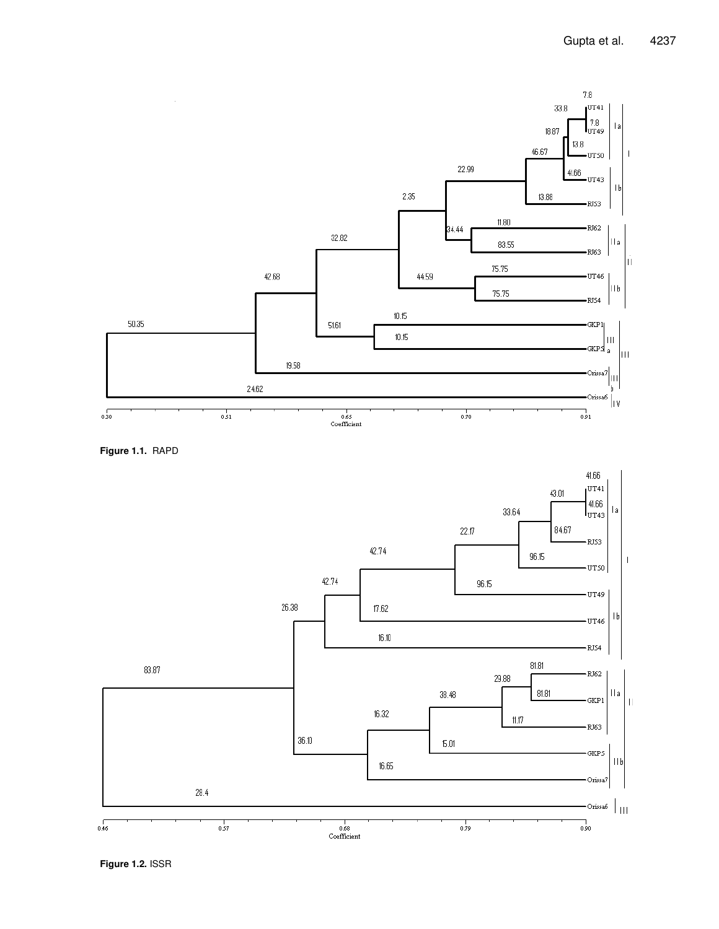

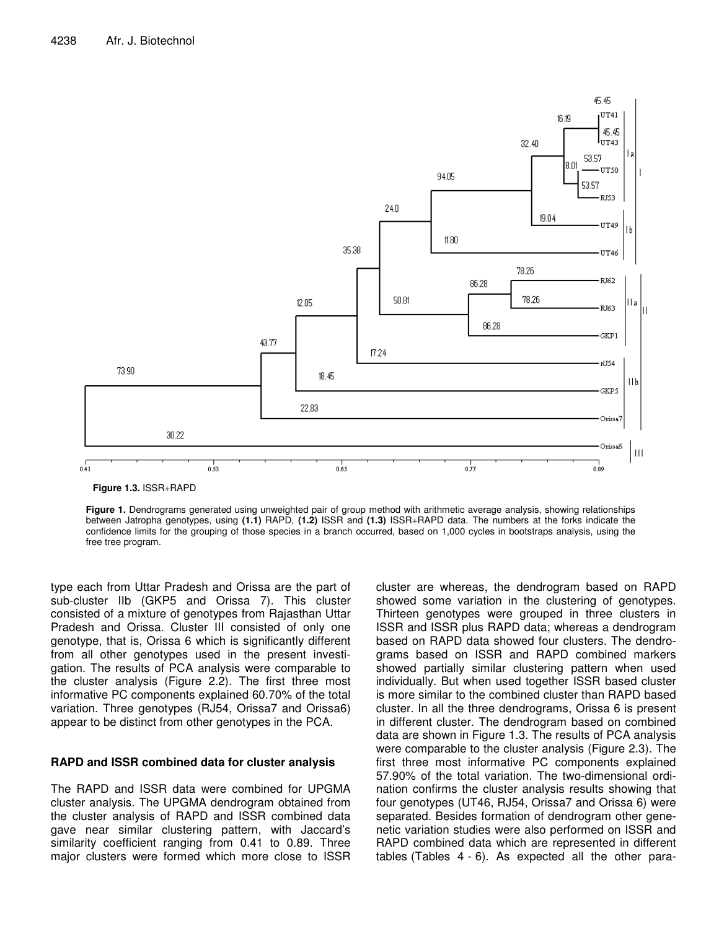

**Figure 1.3.** ISSR+RAPD

**Figure 1.** Dendrograms generated using unweighted pair of group method with arithmetic average analysis, showing relationships between Jatropha genotypes, using **(1.1)** RAPD, **(1.2)** ISSR and **(1.3)** ISSR+RAPD data. The numbers at the forks indicate the confidence limits for the grouping of those species in a branch occurred, based on 1,000 cycles in bootstraps analysis, using the free tree program.

type each from Uttar Pradesh and Orissa are the part of sub-cluster IIb (GKP5 and Orissa 7). This cluster consisted of a mixture of genotypes from Rajasthan Uttar Pradesh and Orissa. Cluster III consisted of only one genotype, that is, Orissa 6 which is significantly different from all other genotypes used in the present investigation. The results of PCA analysis were comparable to the cluster analysis (Figure 2.2). The first three most informative PC components explained 60.70% of the total variation. Three genotypes (RJ54, Orissa7 and Orissa6) appear to be distinct from other genotypes in the PCA.

## **RAPD and ISSR combined data for cluster analysis**

The RAPD and ISSR data were combined for UPGMA cluster analysis. The UPGMA dendrogram obtained from the cluster analysis of RAPD and ISSR combined data gave near similar clustering pattern, with Jaccard's similarity coefficient ranging from 0.41 to 0.89. Three major clusters were formed which more close to ISSR

cluster are whereas, the dendrogram based on RAPD showed some variation in the clustering of genotypes. Thirteen genotypes were grouped in three clusters in ISSR and ISSR plus RAPD data; whereas a dendrogram based on RAPD data showed four clusters. The dendrograms based on ISSR and RAPD combined markers showed partially similar clustering pattern when used individually. But when used together ISSR based cluster is more similar to the combined cluster than RAPD based cluster. In all the three dendrograms, Orissa 6 is present in different cluster. The dendrogram based on combined data are shown in Figure 1.3. The results of PCA analysis were comparable to the cluster analysis (Figure 2.3). The first three most informative PC components explained 57.90% of the total variation. The two-dimensional ordination confirms the cluster analysis results showing that four genotypes (UT46, RJ54, Orissa7 and Orissa 6) were separated. Besides formation of dendrogram other genenetic variation studies were also performed on ISSR and RAPD combined data which are represented in different tables (Tables 4 - 6). As expected all the other para-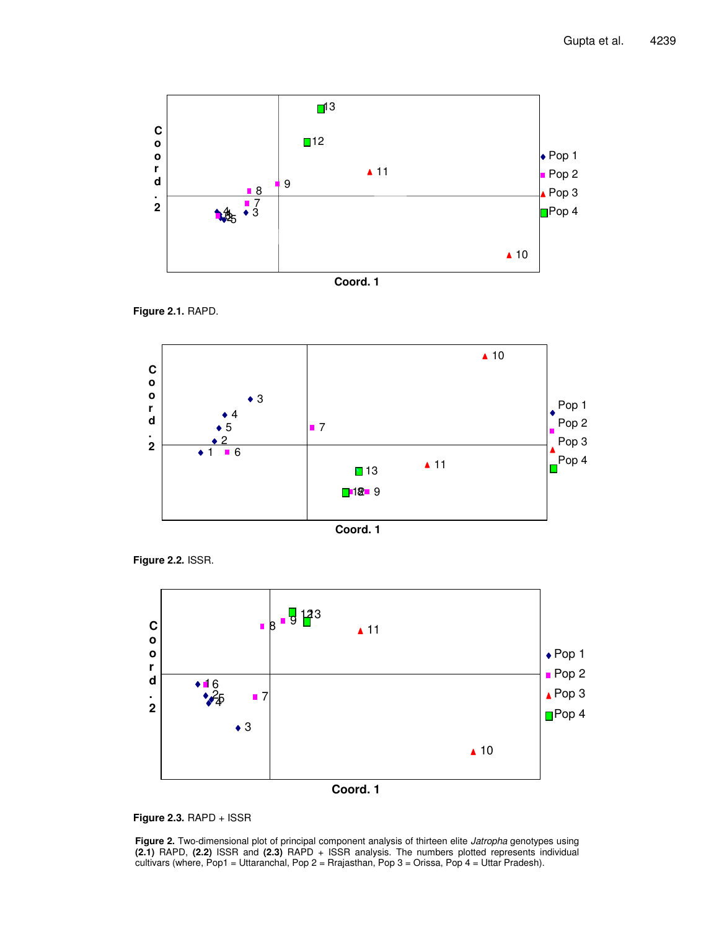



**Figure 2.1.** RAPD.



**Figure 2.2.** ISSR.



**Figure 2.3.** RAPD + ISSR

**Figure 2.** Two-dimensional plot of principal component analysis of thirteen elite *Jatropha* genotypes using **(2.1)** RAPD, **(2.2)** ISSR and **(2.3)** RAPD + ISSR analysis. The numbers plotted represents individual cultivars (where, Pop1 = Uttaranchal, Pop 2 = Rrajasthan, Pop 3 = Orissa, Pop 4 = Uttar Pradesh).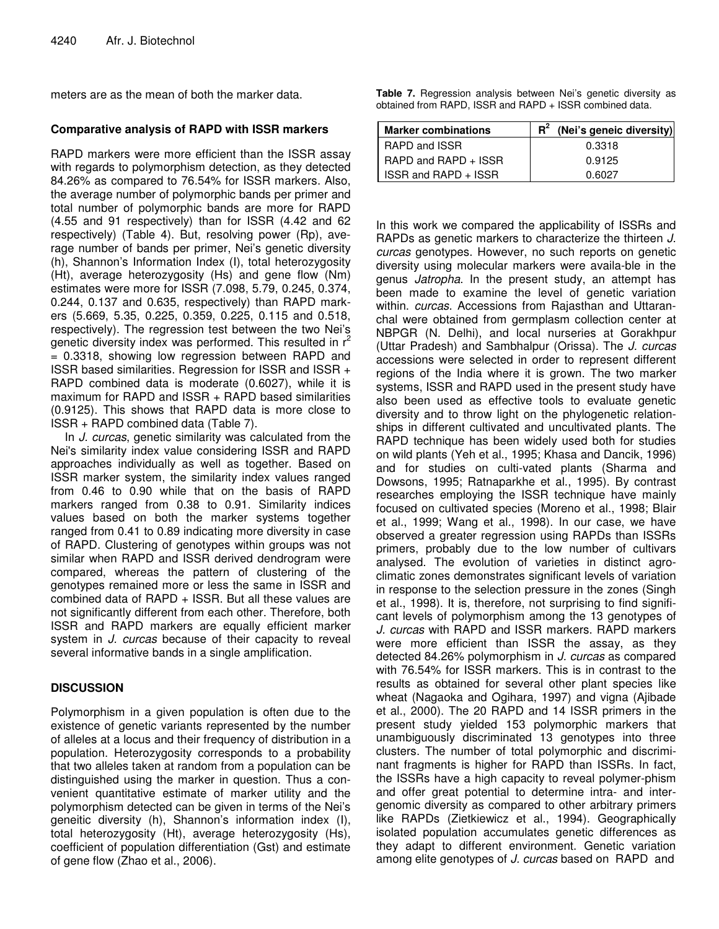meters are as the mean of both the marker data.

## **Comparative analysis of RAPD with ISSR markers**

RAPD markers were more efficient than the ISSR assay with regards to polymorphism detection, as they detected 84.26% as compared to 76.54% for ISSR markers. Also, the average number of polymorphic bands per primer and total number of polymorphic bands are more for RAPD (4.55 and 91 respectively) than for ISSR (4.42 and 62 respectively) (Table 4). But, resolving power (Rp), average number of bands per primer, Nei's genetic diversity (h), Shannon's Information Index (I), total heterozygosity (Ht), average heterozygosity (Hs) and gene flow (Nm) estimates were more for ISSR (7.098, 5.79, 0.245, 0.374, 0.244, 0.137 and 0.635, respectively) than RAPD markers (5.669, 5.35, 0.225, 0.359, 0.225, 0.115 and 0.518, respectively). The regression test between the two Nei's genetic diversity index was performed. This resulted in  $r^2$ = 0.3318, showing low regression between RAPD and ISSR based similarities. Regression for ISSR and ISSR + RAPD combined data is moderate (0.6027), while it is maximum for RAPD and ISSR + RAPD based similarities (0.9125). This shows that RAPD data is more close to ISSR + RAPD combined data (Table 7).

In *J. curcas*, genetic similarity was calculated from the Nei's similarity index value considering ISSR and RAPD approaches individually as well as together. Based on ISSR marker system, the similarity index values ranged from 0.46 to 0.90 while that on the basis of RAPD markers ranged from 0.38 to 0.91. Similarity indices values based on both the marker systems together ranged from 0.41 to 0.89 indicating more diversity in case of RAPD. Clustering of genotypes within groups was not similar when RAPD and ISSR derived dendrogram were compared, whereas the pattern of clustering of the genotypes remained more or less the same in ISSR and combined data of RAPD + ISSR. But all these values are not significantly different from each other. Therefore, both ISSR and RAPD markers are equally efficient marker system in *J. curcas* because of their capacity to reveal several informative bands in a single amplification.

# **DISCUSSION**

Polymorphism in a given population is often due to the existence of genetic variants represented by the number of alleles at a locus and their frequency of distribution in a population. Heterozygosity corresponds to a probability that two alleles taken at random from a population can be distinguished using the marker in question. Thus a convenient quantitative estimate of marker utility and the polymorphism detected can be given in terms of the Nei's geneitic diversity (h), Shannon's information index (I), total heterozygosity (Ht), average heterozygosity (Hs), coefficient of population differentiation (Gst) and estimate of gene flow (Zhao et al., 2006).

**Table 7.** Regression analysis between Nei's genetic diversity as obtained from RAPD, ISSR and RAPD + ISSR combined data.

| <b>Marker combinations</b> | $R^2$ (Nei's geneic diversity) |
|----------------------------|--------------------------------|
| RAPD and ISSR              | 0.3318                         |
| RAPD and RAPD + ISSR       | 0.9125                         |
| ISSR and RAPD + ISSR       | በ 6027                         |

In this work we compared the applicability of ISSRs and RAPDs as genetic markers to characterize the thirteen *J. curcas* genotypes. However, no such reports on genetic diversity using molecular markers were availa-ble in the genus *Jatropha*. In the present study, an attempt has been made to examine the level of genetic variation within. *curcas*. Accessions from Rajasthan and Uttaranchal were obtained from germplasm collection center at NBPGR (N. Delhi), and local nurseries at Gorakhpur (Uttar Pradesh) and Sambhalpur (Orissa). The *J. curcas* accessions were selected in order to represent different regions of the India where it is grown. The two marker systems, ISSR and RAPD used in the present study have also been used as effective tools to evaluate genetic diversity and to throw light on the phylogenetic relationships in different cultivated and uncultivated plants. The RAPD technique has been widely used both for studies on wild plants (Yeh et al., 1995; Khasa and Dancik, 1996) and for studies on culti-vated plants (Sharma and Dowsons, 1995; Ratnaparkhe et al., 1995). By contrast researches employing the ISSR technique have mainly focused on cultivated species (Moreno et al., 1998; Blair et al., 1999; Wang et al., 1998). In our case, we have observed a greater regression using RAPDs than ISSRs primers, probably due to the low number of cultivars analysed. The evolution of varieties in distinct agroclimatic zones demonstrates significant levels of variation in response to the selection pressure in the zones (Singh et al., 1998). It is, therefore, not surprising to find significant levels of polymorphism among the 13 genotypes of *J. curcas* with RAPD and ISSR markers. RAPD markers were more efficient than ISSR the assay, as they detected 84.26% polymorphism in *J. curcas* as compared with 76.54% for ISSR markers. This is in contrast to the results as obtained for several other plant species like wheat (Nagaoka and Ogihara, 1997) and vigna (Ajibade et al., 2000). The 20 RAPD and 14 ISSR primers in the present study yielded 153 polymorphic markers that unambiguously discriminated 13 genotypes into three clusters. The number of total polymorphic and discriminant fragments is higher for RAPD than ISSRs. In fact, the ISSRs have a high capacity to reveal polymer-phism and offer great potential to determine intra- and intergenomic diversity as compared to other arbitrary primers like RAPDs (Zietkiewicz et al., 1994). Geographically isolated population accumulates genetic differences as they adapt to different environment. Genetic variation among elite genotypes of *J. curcas* based on RAPD and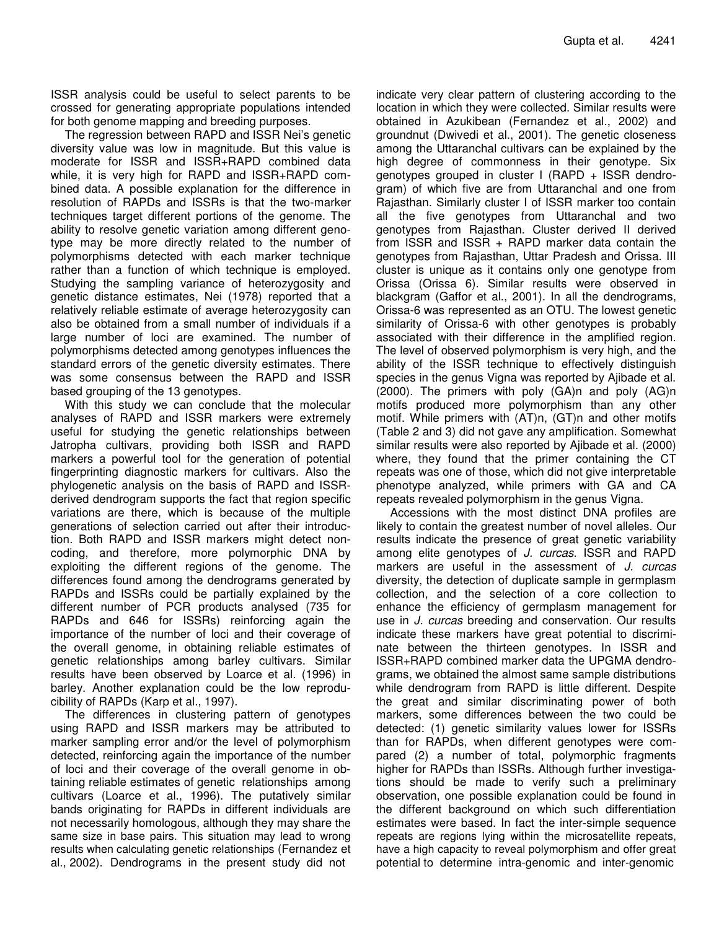ISSR analysis could be useful to select parents to be crossed for generating appropriate populations intended for both genome mapping and breeding purposes.

The regression between RAPD and ISSR Nei's genetic diversity value was low in magnitude. But this value is moderate for ISSR and ISSR+RAPD combined data while, it is very high for RAPD and ISSR+RAPD combined data. A possible explanation for the difference in resolution of RAPDs and ISSRs is that the two-marker techniques target different portions of the genome. The ability to resolve genetic variation among different genotype may be more directly related to the number of polymorphisms detected with each marker technique rather than a function of which technique is employed. Studying the sampling variance of heterozygosity and genetic distance estimates, Nei (1978) reported that a relatively reliable estimate of average heterozygosity can also be obtained from a small number of individuals if a large number of loci are examined. The number of polymorphisms detected among genotypes influences the standard errors of the genetic diversity estimates. There was some consensus between the RAPD and ISSR based grouping of the 13 genotypes.

With this study we can conclude that the molecular analyses of RAPD and ISSR markers were extremely useful for studying the genetic relationships between Jatropha cultivars, providing both ISSR and RAPD markers a powerful tool for the generation of potential fingerprinting diagnostic markers for cultivars. Also the phylogenetic analysis on the basis of RAPD and ISSRderived dendrogram supports the fact that region specific variations are there, which is because of the multiple generations of selection carried out after their introduction. Both RAPD and ISSR markers might detect noncoding, and therefore, more polymorphic DNA by exploiting the different regions of the genome. The differences found among the dendrograms generated by RAPDs and ISSRs could be partially explained by the different number of PCR products analysed (735 for RAPDs and 646 for ISSRs) reinforcing again the importance of the number of loci and their coverage of the overall genome, in obtaining reliable estimates of genetic relationships among barley cultivars. Similar results have been observed by Loarce et al. (1996) in barley. Another explanation could be the low reproducibility of RAPDs (Karp et al., 1997).

The differences in clustering pattern of genotypes using RAPD and ISSR markers may be attributed to marker sampling error and/or the level of polymorphism detected, reinforcing again the importance of the number of loci and their coverage of the overall genome in obtaining reliable estimates of genetic relationships among cultivars (Loarce et al., 1996). The putatively similar bands originating for RAPDs in different individuals are not necessarily homologous, although they may share the same size in base pairs. This situation may lead to wrong results when calculating genetic relationships (Fernandez et al., 2002). Dendrograms in the present study did not

indicate very clear pattern of clustering according to the location in which they were collected. Similar results were obtained in Azukibean (Fernandez et al., 2002) and groundnut (Dwivedi et al., 2001). The genetic closeness among the Uttaranchal cultivars can be explained by the high degree of commonness in their genotype. Six genotypes grouped in cluster I (RAPD + ISSR dendrogram) of which five are from Uttaranchal and one from Rajasthan. Similarly cluster I of ISSR marker too contain all the five genotypes from Uttaranchal and two genotypes from Rajasthan. Cluster derived II derived from ISSR and ISSR + RAPD marker data contain the genotypes from Rajasthan, Uttar Pradesh and Orissa. III cluster is unique as it contains only one genotype from Orissa (Orissa 6). Similar results were observed in blackgram (Gaffor et al., 2001). In all the dendrograms, Orissa-6 was represented as an OTU. The lowest genetic similarity of Orissa-6 with other genotypes is probably associated with their difference in the amplified region. The level of observed polymorphism is very high, and the ability of the ISSR technique to effectively distinguish species in the genus Vigna was reported by Ajibade et al. (2000). The primers with poly (GA)n and poly (AG)n motifs produced more polymorphism than any other motif. While primers with (AT)n, (GT)n and other motifs (Table 2 and 3) did not gave any amplification. Somewhat similar results were also reported by Ajibade et al. (2000) where, they found that the primer containing the CT repeats was one of those, which did not give interpretable phenotype analyzed, while primers with GA and CA repeats revealed polymorphism in the genus Vigna.

Accessions with the most distinct DNA profiles are likely to contain the greatest number of novel alleles. Our results indicate the presence of great genetic variability among elite genotypes of *J. curcas*. ISSR and RAPD markers are useful in the assessment of *J. curcas* diversity, the detection of duplicate sample in germplasm collection, and the selection of a core collection to enhance the efficiency of germplasm management for use in *J. curcas* breeding and conservation. Our results indicate these markers have great potential to discriminate between the thirteen genotypes. In ISSR and ISSR+RAPD combined marker data the UPGMA dendrograms, we obtained the almost same sample distributions while dendrogram from RAPD is little different. Despite the great and similar discriminating power of both markers, some differences between the two could be detected: (1) genetic similarity values lower for ISSRs than for RAPDs, when different genotypes were compared (2) a number of total, polymorphic fragments higher for RAPDs than ISSRs. Although further investigations should be made to verify such a preliminary observation, one possible explanation could be found in the different background on which such differentiation estimates were based. In fact the inter-simple sequence repeats are regions lying within the microsatellite repeats, have a high capacity to reveal polymorphism and offer great potential to determine intra-genomic and inter-genomic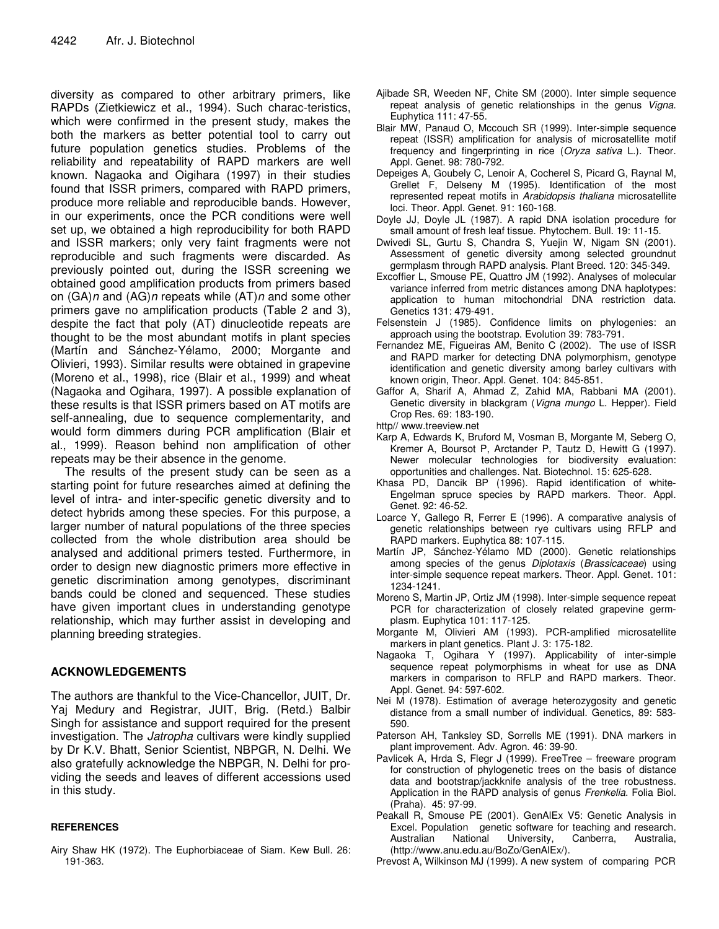diversity as compared to other arbitrary primers, like RAPDs (Zietkiewicz et al., 1994). Such charac-teristics, which were confirmed in the present study, makes the both the markers as better potential tool to carry out future population genetics studies. Problems of the reliability and repeatability of RAPD markers are well known. Nagaoka and Oigihara (1997) in their studies found that ISSR primers, compared with RAPD primers, produce more reliable and reproducible bands. However, in our experiments, once the PCR conditions were well set up, we obtained a high reproducibility for both RAPD and ISSR markers; only very faint fragments were not reproducible and such fragments were discarded. As previously pointed out, during the ISSR screening we obtained good amplification products from primers based on (GA)*n* and (AG)*n* repeats while (AT)*n* and some other primers gave no amplification products (Table 2 and 3), despite the fact that poly (AT) dinucleotide repeats are thought to be the most abundant motifs in plant species (Martín and Sánchez-Yélamo, 2000; Morgante and Olivieri, 1993). Similar results were obtained in grapevine (Moreno et al., 1998), rice (Blair et al., 1999) and wheat (Nagaoka and Ogihara, 1997). A possible explanation of these results is that ISSR primers based on AT motifs are self-annealing, due to sequence complementarity, and would form dimmers during PCR amplification (Blair et al., 1999). Reason behind non amplification of other repeats may be their absence in the genome.

The results of the present study can be seen as a starting point for future researches aimed at defining the level of intra- and inter-specific genetic diversity and to detect hybrids among these species. For this purpose, a larger number of natural populations of the three species collected from the whole distribution area should be analysed and additional primers tested. Furthermore, in order to design new diagnostic primers more effective in genetic discrimination among genotypes, discriminant bands could be cloned and sequenced. These studies have given important clues in understanding genotype relationship, which may further assist in developing and planning breeding strategies.

## **ACKNOWLEDGEMENTS**

The authors are thankful to the Vice-Chancellor, JUIT, Dr. Yaj Medury and Registrar, JUIT, Brig. (Retd.) Balbir Singh for assistance and support required for the present investigation. The *Jatropha* cultivars were kindly supplied by Dr K.V. Bhatt, Senior Scientist, NBPGR, N. Delhi. We also gratefully acknowledge the NBPGR, N. Delhi for providing the seeds and leaves of different accessions used in this study.

## **REFERENCES**

Airy Shaw HK (1972). The Euphorbiaceae of Siam. Kew Bull*.* 26: 191-363.

- Ajibade SR, Weeden NF, Chite SM (2000). Inter simple sequence repeat analysis of genetic relationships in the genus *Vigna*. Euphytica 111: 47-55.
- Blair MW, Panaud O, Mccouch SR (1999). Inter-simple sequence repeat (ISSR) amplification for analysis of microsatellite motif frequency and fingerprinting in rice (*Oryza sativa* L.). Theor. Appl. Genet. 98: 780-792.
- Depeiges A, Goubely C, Lenoir A, Cocherel S, Picard G, Raynal M, Grellet F, Delseny M (1995). Identification of the most represented repeat motifs in *Arabidopsis thaliana* microsatellite loci. Theor. Appl. Genet. 91: 160-168.
- Doyle JJ, Doyle JL (1987). A rapid DNA isolation procedure for small amount of fresh leaf tissue. Phytochem. Bull. 19: 11-15.
- Dwivedi SL, Gurtu S, Chandra S, Yuejin W, Nigam SN (2001). Assessment of genetic diversity among selected groundnut germplasm through RAPD analysis. Plant Breed. 120: 345-349.
- Excoffier L, Smouse PE, Quattro JM (1992). Analyses of molecular variance inferred from metric distances among DNA haplotypes: application to human mitochondrial DNA restriction data. Genetics 131: 479-491.
- Felsenstein J (1985). Confidence limits on phylogenies: an approach using the bootstrap. Evolution 39: 783-791.
- Fernandez ME, Figueiras AM, Benito C (2002). The use of ISSR and RAPD marker for detecting DNA polymorphism, genotype identification and genetic diversity among barley cultivars with known origin, Theor. Appl. Genet. 104: 845-851.
- Gaffor A, Sharif A, Ahmad Z, Zahid MA, Rabbani MA (2001). Genetic diversity in blackgram (*Vigna mungo* L. Hepper). Field Crop Res. 69: 183-190.
- http// www.treeview.net
- Karp A, Edwards K, Bruford M, Vosman B, Morgante M, Seberg O, Kremer A, Boursot P, Arctander P, Tautz D, Hewitt G (1997). Newer molecular technologies for biodiversity evaluation: opportunities and challenges. Nat. Biotechnol. 15: 625-628.
- Khasa PD, Dancik BP (1996). Rapid identification of white-Engelman spruce species by RAPD markers. Theor. Appl. Genet. 92: 46-52.
- Loarce Y, Gallego R, Ferrer E (1996). A comparative analysis of genetic relationships between rye cultivars using RFLP and RAPD markers. Euphytica 88: 107-115.
- Martín JP, Sánchez-Yélamo MD (2000). Genetic relationships among species of the genus *Diplotaxis* (*Brassicaceae*) using inter-simple sequence repeat markers. Theor. Appl. Genet*.* 101: 1234-1241.
- Moreno S, Martin JP, Ortiz JM (1998). Inter-simple sequence repeat PCR for characterization of closely related grapevine germplasm. Euphytica 101: 117-125.
- Morgante M, Olivieri AM (1993). PCR-amplified microsatellite markers in plant genetics. Plant J. 3: 175-182.
- Nagaoka T, Ogihara Y (1997). Applicability of inter-simple sequence repeat polymorphisms in wheat for use as DNA markers in comparison to RFLP and RAPD markers. Theor. Appl. Genet. 94: 597-602.
- Nei M (1978). Estimation of average heterozygosity and genetic distance from a small number of individual. Genetics, 89: 583- 590.
- Paterson AH, Tanksley SD, Sorrells ME (1991). DNA markers in plant improvement. Adv. Agron. 46: 39-90.
- Pavlicek A, Hrda S, Flegr J (1999). FreeTree freeware program for construction of phylogenetic trees on the basis of distance data and bootstrap/jackknife analysis of the tree robustness. Application in the RAPD analysis of genus *Frenkelia*. Folia Biol. (Praha). 45: 97-99.
- Peakall R, Smouse PE (2001). GenAlEx V5: Genetic Analysis in Excel. Population genetic software for teaching and research. Australian National University, Canberra, Australia, (http://www.anu.edu.au/BoZo/GenAlEx/).
- Prevost A, Wilkinson MJ (1999). A new system of comparing PCR